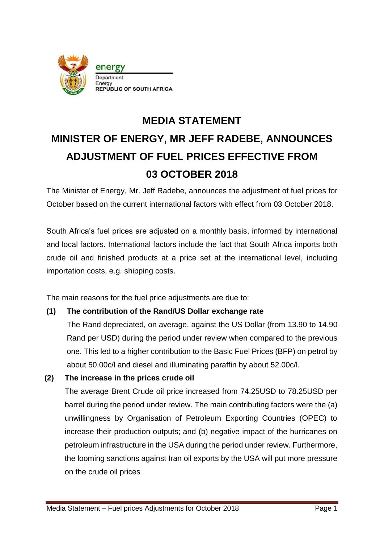

## **MEDIA STATEMENT MINISTER OF ENERGY, MR JEFF RADEBE, ANNOUNCES ADJUSTMENT OF FUEL PRICES EFFECTIVE FROM 03 OCTOBER 2018**

The Minister of Energy, Mr. Jeff Radebe, announces the adjustment of fuel prices for October based on the current international factors with effect from 03 October 2018.

South Africa's fuel prices are adjusted on a monthly basis, informed by international and local factors. International factors include the fact that South Africa imports both crude oil and finished products at a price set at the international level, including importation costs, e.g. shipping costs.

The main reasons for the fuel price adjustments are due to:

## **(1) The contribution of the Rand/US Dollar exchange rate**

The Rand depreciated, on average, against the US Dollar (from 13.90 to 14.90 Rand per USD) during the period under review when compared to the previous one. This led to a higher contribution to the Basic Fuel Prices (BFP) on petrol by about 50.00c/l and diesel and illuminating paraffin by about 52.00c/l.

**(2) The increase in the prices crude oil** 

The average Brent Crude oil price increased from 74.25USD to 78.25USD per barrel during the period under review. The main contributing factors were the (a) unwillingness by Organisation of Petroleum Exporting Countries (OPEC) to increase their production outputs; and (b) negative impact of the hurricanes on petroleum infrastructure in the USA during the period under review. Furthermore, the looming sanctions against Iran oil exports by the USA will put more pressure on the crude oil prices